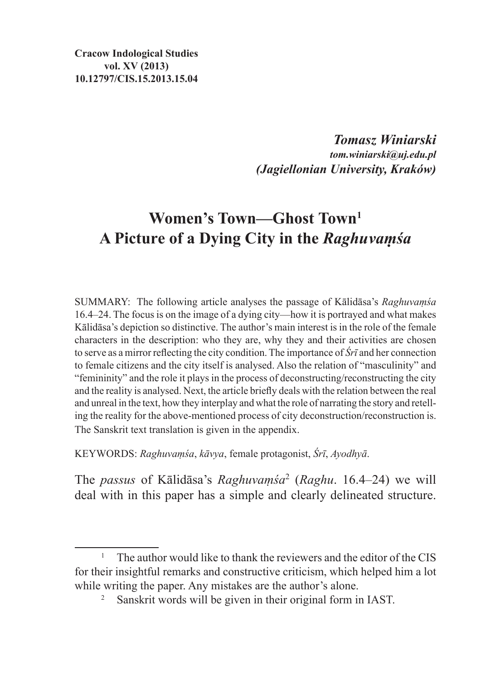**Cracow Indological Studies vol. XV (2013) 10.12797/CIS.15.2013.15.04**

> *Tomasz Winiarski tom.winiarski@uj.edu.pl (Jagiellonian University, Kraków)*

# **Women's Town—Ghost Town1 A Picture of a Dying City in the** *Raghuvaṃśa*

SUMMARY: The following article analyses the passage of Kālidāsa's *Raghuvaṃśa*  16.4–24. The focus is on the image of a dying city—how it is portrayed and what makes Kālidāsa's depiction so distinctive. The author's main interest is in the role of the female characters in the description: who they are, why they and their activities are chosen to serve as a mirror reflecting the city condition. The importance of *Śrī* and her connection to female citizens and the city itself is analysed. Also the relation of "masculinity" and "femininity" and the role it plays in the process of deconstructing/reconstructing the city and the reality is analysed. Next, the article briefly deals with the relation between the real and unreal in the text, how they interplay and what the role of narrating the story and retelling the reality for the above-mentioned process of city deconstruction/reconstruction is. The Sanskrit text translation is given in the appendix.

KEYWORDS: *Raghuvaṃśa*, *kāvya*, female protagonist, *Śrī*, *Ayodhyā*.

The *passus* of Kālidāsa's *Raghuvaṃśa*<sup>2</sup> (*Raghu*. 16.4–24) we will deal with in this paper has a simple and clearly delineated structure.

<sup>1</sup> The author would like to thank the reviewers and the editor of the CIS for their insightful remarks and constructive criticism, which helped him a lot while writing the paper. Any mistakes are the author's alone.

<sup>2</sup> Sanskrit words will be given in their original form in IAST.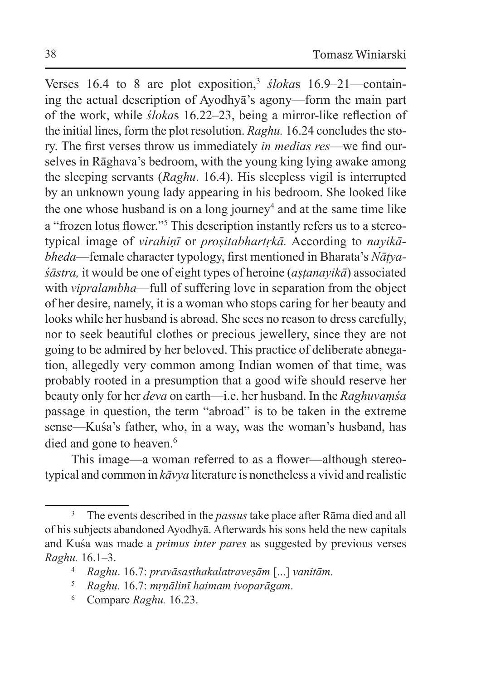Verses 16.4 to 8 are plot exposition,<sup>3</sup> *śloka*s 16.9–21—containing the actual description of Ayodhyā's agony—form the main part of the work, while *śloka*s 16.22–23, being a mirror-like reflection of the initial lines, form the plot resolution. *Raghu.* 16.24 concludes the story. The first verses throw us immediately *in medias res*—we find ourselves in Rāghava's bedroom, with the young king lying awake among the sleeping servants (*Raghu*. 16.4). His sleepless vigil is interrupted by an unknown young lady appearing in his bedroom. She looked like the one whose husband is on a long journey<sup>4</sup> and at the same time like a "frozen lotus flower."<sup>5</sup> This description instantly refers us to a stereotypical image of *virahiṇī* or *proṣitabhartṛkā.* According to *nayikābheda*—female character typology, first mentioned in Bharata's *Nāṭyaśāstra,* it would be one of eight types of heroine (*aṣṭanayikā*) associated with *vipralambha*—full of suffering love in separation from the object of her desire, namely, it is a woman who stops caring for her beauty and looks while her husband is abroad. She sees no reason to dress carefully, nor to seek beautiful clothes or precious jewellery, since they are not going to be admired by her beloved. This practice of deliberate abnegation, allegedly very common among Indian women of that time, was probably rooted in a presumption that a good wife should reserve her beauty only for her *deva* on earth—i.e. her husband. In the *Raghuvaṃśa* passage in question, the term "abroad" is to be taken in the extreme sense—Kuśa's father, who, in a way, was the woman's husband, has died and gone to heaven.<sup>6</sup>

This image—a woman referred to as a flower—although stereotypical and common in *kāvya* literature is nonetheless a vivid and realistic

<sup>3</sup> The events described in the *passus* take place after Rāma died and all of his subjects abandoned Ayodhyā. Afterwards his sons held the new capitals and Kuśa was made a *primus inter pares* as suggested by previous verses *Raghu.* 16.1–3.

<sup>4</sup> *Raghu*. 16.7: *pravāsasthakalatraveṣām* [...] *vanitām*.

<sup>5</sup> *Raghu.* 16.7: *mṛṇālinī haimam ivoparāgam*.

<sup>6</sup> Compare *Raghu.* 16.23.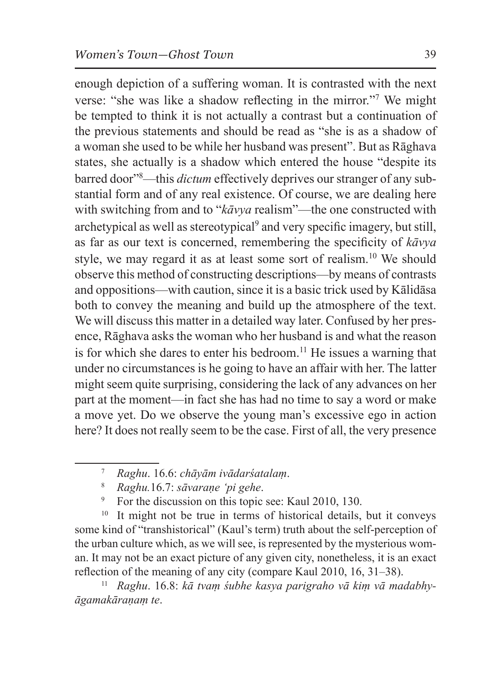enough depiction of a suffering woman. It is contrasted with the next verse: "she was like a shadow reflecting in the mirror."<sup>7</sup> We might be tempted to think it is not actually a contrast but a continuation of the previous statements and should be read as "she is as a shadow of a woman she used to be while her husband was present". But as Rāghava states, she actually is a shadow which entered the house "despite its barred door"8 —this *dictum* effectively deprives our stranger of any substantial form and of any real existence. Of course, we are dealing here with switching from and to "*kāvya* realism"—the one constructed with archetypical as well as stereotypical<sup>9</sup> and very specific imagery, but still, as far as our text is concerned, remembering the specificity of *kāvya* style, we may regard it as at least some sort of realism.<sup>10</sup> We should observe this method of constructing descriptions—by means of contrasts and oppositions—with caution, since it is a basic trick used by Kālidāsa both to convey the meaning and build up the atmosphere of the text. We will discuss this matter in a detailed way later. Confused by her presence, Rāghava asks the woman who her husband is and what the reason is for which she dares to enter his bedroom.<sup>11</sup> He issues a warning that under no circumstances is he going to have an affair with her. The latter might seem quite surprising, considering the lack of any advances on her part at the moment—in fact she has had no time to say a word or make a move yet. Do we observe the young man's excessive ego in action here? It does not really seem to be the case. First of all, the very presence

For the discussion on this topic see: Kaul 2010, 130.

<sup>10</sup> It might not be true in terms of historical details, but it conveys some kind of "transhistorical" (Kaul's term) truth about the self-perception of the urban culture which, as we will see, is represented by the mysterious woman. It may not be an exact picture of any given city, nonetheless, it is an exact reflection of the meaning of any city (compare Kaul 2010, 16, 31–38).

<sup>11</sup> *Raghu*. 16.8: *kā tvaṃ śubhe kasya parigraho vā kiṃ vā madabhyāgamakāraṇaṃ te*.

<sup>7</sup> *Raghu*. 16.6: *chāyām ivādarśatalaṃ*.

<sup>8</sup> *Raghu.*16.7: *sāvaraṇe 'pi gehe*.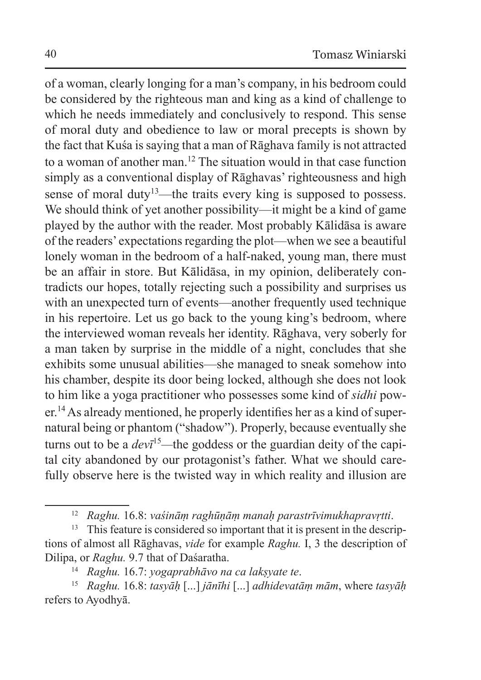of a woman, clearly longing for a man's company, in his bedroom could be considered by the righteous man and king as a kind of challenge to which he needs immediately and conclusively to respond. This sense of moral duty and obedience to law or moral precepts is shown by the fact that Kuśa is saying that a man of Rāghava family is not attracted to a woman of another man.<sup>12</sup> The situation would in that case function simply as a conventional display of Rāghavas' righteousness and high sense of moral duty<sup>13</sup>—the traits every king is supposed to possess. We should think of yet another possibility—it might be a kind of game played by the author with the reader. Most probably Kālidāsa is aware of the readers' expectations regarding the plot—when we see a beautiful lonely woman in the bedroom of a half-naked, young man, there must be an affair in store. But Kālidāsa, in my opinion, deliberately contradicts our hopes, totally rejecting such a possibility and surprises us with an unexpected turn of events—another frequently used technique in his repertoire. Let us go back to the young king's bedroom, where the interviewed woman reveals her identity. Rāghava, very soberly for a man taken by surprise in the middle of a night, concludes that she exhibits some unusual abilities—she managed to sneak somehow into his chamber, despite its door being locked, although she does not look to him like a yoga practitioner who possesses some kind of *sidhi* power.<sup>14</sup>As already mentioned, he properly identifies her as a kind of supernatural being or phantom ("shadow"). Properly, because eventually she turns out to be a *dev*<sup> $15$ </sup>—the goddess or the guardian deity of the capital city abandoned by our protagonist's father. What we should carefully observe here is the twisted way in which reality and illusion are

<sup>12</sup> *Raghu.* 16.8: *vaśināṃ raghūṇāṃ manaḥ parastrīvimukhapravṛtti*.

<sup>&</sup>lt;sup>13</sup> This feature is considered so important that it is present in the descriptions of almost all Rāghavas, *vide* for example *Raghu.* I, 3 the description of Dilipa, or *Raghu.* 9.7 that of Daśaratha.

<sup>14</sup> *Raghu.* 16.7: *yogaprabhāvo na ca lakṣyate te*.

<sup>15</sup> *Raghu.* 16.8: *tasyāḥ* [...] *jānīhi* [...] *adhidevatāṃ mām*, where *tasyāḥ*  refers to Ayodhyā.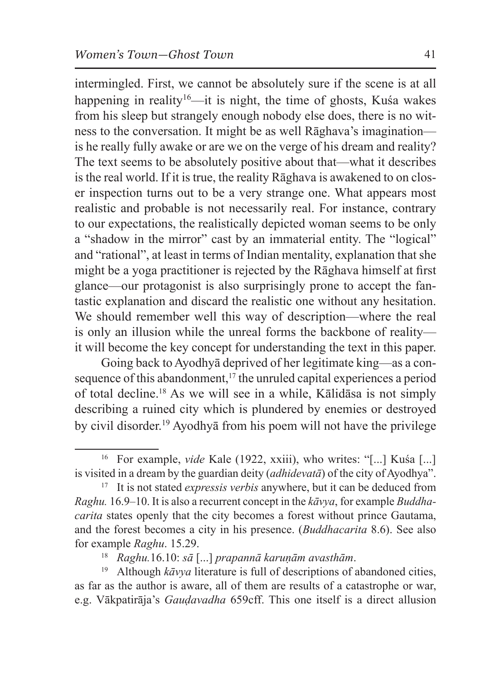intermingled. First, we cannot be absolutely sure if the scene is at all happening in reality<sup>16</sup>—it is night, the time of ghosts, Kusa wakes from his sleep but strangely enough nobody else does, there is no witness to the conversation. It might be as well Rāghava's imagination is he really fully awake or are we on the verge of his dream and reality? The text seems to be absolutely positive about that—what it describes is the real world. If it is true, the reality Rāghava is awakened to on closer inspection turns out to be a very strange one. What appears most realistic and probable is not necessarily real. For instance, contrary to our expectations, the realistically depicted woman seems to be only a "shadow in the mirror" cast by an immaterial entity. The "logical" and "rational", at least in terms of Indian mentality, explanation that she might be a yoga practitioner is rejected by the Rāghava himself at first glance—our protagonist is also surprisingly prone to accept the fantastic explanation and discard the realistic one without any hesitation. We should remember well this way of description—where the real is only an illusion while the unreal forms the backbone of reality it will become the key concept for understanding the text in this paper.

Going back toAyodhyā deprived of her legitimate king—as a consequence of this abandonment,<sup>17</sup> the unruled capital experiences a period of total decline.<sup>18</sup> As we will see in a while, Kālidāsa is not simply describing a ruined city which is plundered by enemies or destroyed by civil disorder.<sup>19</sup> Ayodhyā from his poem will not have the privilege

<sup>&</sup>lt;sup>16</sup> For example, *vide* Kale (1922, xxiii), who writes: "[...] Kuśa [...] is visited in a dream by the guardian deity (*adhidevatā*) of the city of Ayodhya".

<sup>17</sup> It is not stated *expressis verbis* anywhere, but it can be deduced from *Raghu.* 16.9–10. It is also a recurrent concept in the *kāvya*, for example *Buddhacarita* states openly that the city becomes a forest without prince Gautama, and the forest becomes a city in his presence. (*Buddhacarita* 8.6). See also for example *Raghu*. 15.29.

<sup>18</sup> *Raghu.*16.10: *sā* [...] *prapannā karuṇām avasthām*.

<sup>19</sup> Although *kāvya* literature is full of descriptions of abandoned cities, as far as the author is aware, all of them are results of a catastrophe or war, e.g. Vākpatirāja's *Gauḍavadha* 659cff. This one itself is a direct allusion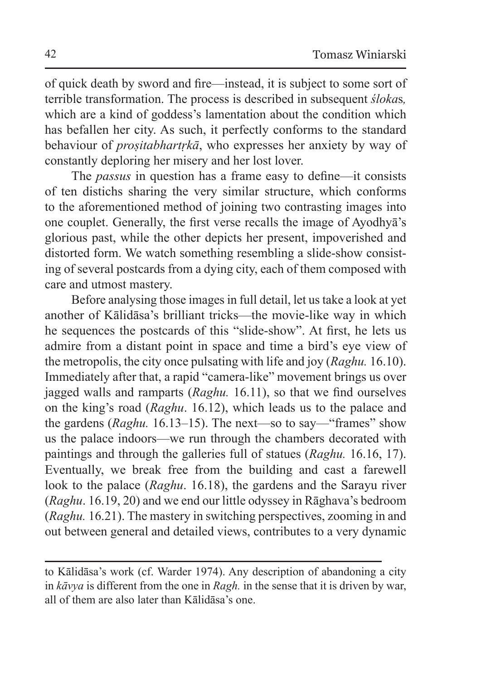of quick death by sword and fire—instead, it is subject to some sort of terrible transformation. The process is described in subsequent *śloka*s*,*  which are a kind of goddess's lamentation about the condition which has befallen her city. As such, it perfectly conforms to the standard behaviour of *proṣitabhartṛkā*, who expresses her anxiety by way of constantly deploring her misery and her lost lover.

The *passus* in question has a frame easy to define—it consists of ten distichs sharing the very similar structure, which conforms to the aforementioned method of joining two contrasting images into one couplet. Generally, the first verse recalls the image of Ayodhyā's glorious past, while the other depicts her present, impoverished and distorted form. We watch something resembling a slide-show consisting of several postcards from a dying city, each of them composed with care and utmost mastery.

Before analysing those images in full detail, let us take a look at yet another of Kālidāsa's brilliant tricks—the movie-like way in which he sequences the postcards of this "slide-show". At first, he lets us admire from a distant point in space and time a bird's eye view of the metropolis, the city once pulsating with life and joy (*Raghu.* 16.10). Immediately after that, a rapid "camera-like" movement brings us over jagged walls and ramparts (*Raghu.* 16.11), so that we find ourselves on the king's road (*Raghu*. 16.12), which leads us to the palace and the gardens (*Raghu.* 16.13–15). The next—so to say—"frames" show us the palace indoors—we run through the chambers decorated with paintings and through the galleries full of statues (*Raghu.* 16.16, 17). Eventually, we break free from the building and cast a farewell look to the palace (*Raghu*. 16.18), the gardens and the Sarayu river (*Raghu*. 16.19, 20) and we end our little odyssey in Rāghava's bedroom (*Raghu.* 16.21). The mastery in switching perspectives, zooming in and out between general and detailed views, contributes to a very dynamic

to Kālidāsa's work (cf. Warder 1974). Any description of abandoning a city in *kāvya* is different from the one in *Ragh.* in the sense that it is driven by war, all of them are also later than Kālidāsa's one.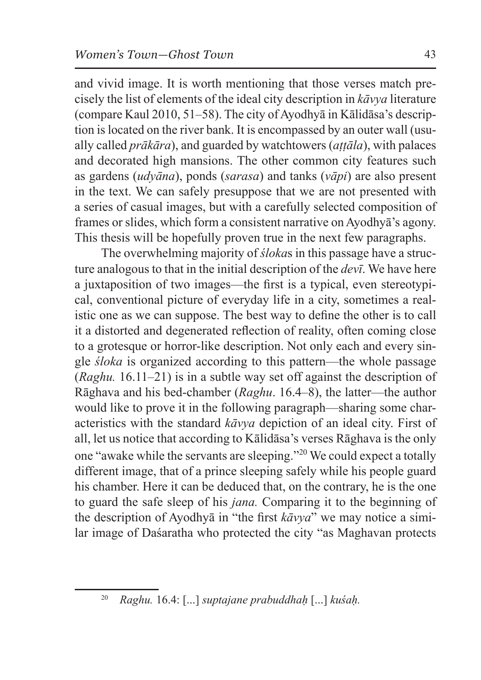and vivid image. It is worth mentioning that those verses match precisely the list of elements of the ideal city description in *kāvya* literature (compare Kaul 2010, 51–58). The city of Ayodhyā in Kālidāsa's description is located on the river bank. It is encompassed by an outer wall (usually called *prākāra*), and guarded by watchtowers (*aṭṭāla*), with palaces and decorated high mansions. The other common city features such as gardens (*udyāna*), ponds (*sarasa*) and tanks (*vāpi*) are also present in the text. We can safely presuppose that we are not presented with a series of casual images, but with a carefully selected composition of frames or slides, which form a consistent narrative on Ayodhya's agony. This thesis will be hopefully proven true in the next few paragraphs.

The overwhelming majority of *śloka*s in this passage have a structure analogous to that in the initial description of the *devī*. We have here a juxtaposition of two images—the first is a typical, even stereotypical, conventional picture of everyday life in a city, sometimes a realistic one as we can suppose. The best way to define the other is to call it a distorted and degenerated reflection of reality, often coming close to a grotesque or horror-like description. Not only each and every single *śloka* is organized according to this pattern—the whole passage (*Raghu.* 16.11–21) is in a subtle way set off against the description of Rāghava and his bed-chamber (*Raghu*. 16.4–8), the latter—the author would like to prove it in the following paragraph—sharing some characteristics with the standard *kāvya* depiction of an ideal city. First of all, let us notice that according to Kālidāsa's verses Rāghava is the only one "awake while the servants are sleeping."<sup>20</sup> We could expect a totally different image, that of a prince sleeping safely while his people guard his chamber. Here it can be deduced that, on the contrary, he is the one to guard the safe sleep of his *jana.* Comparing it to the beginning of the description of Ayodhyā in "the first *kāvya*" we may notice a similar image of Daśaratha who protected the city "as Maghavan protects

<sup>20</sup> *Raghu.* 16.4: [...] *suptajane prabuddhaḥ* [...] *kuśaḥ.*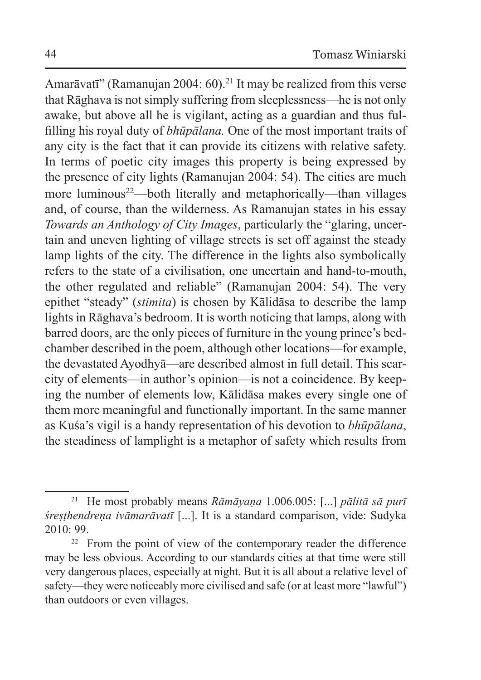Amarāvatī" (Ramanujan 2004: 60).<sup>21</sup> It may be realized from this verse that Rāghava is not simply suffering from sleeplessness—he is not only awake, but above all he is vigilant, acting as a guardian and thus fulfilling his royal duty of *bhūpālana.* One of the most important traits of any city is the fact that it can provide its citizens with relative safety. In terms of poetic city images this property is being expressed by the presence of city lights (Ramanujan 2004: 54). The cities are much more luminous<sup>22</sup>—both literally and metaphorically—than villages and, of course, than the wilderness. As Ramanujan states in his essay *Towards an Anthology of City Images*, particularly the "glaring, uncertain and uneven lighting of village streets is set off against the steady lamp lights of the city. The difference in the lights also symbolically refers to the state of a civilisation, one uncertain and hand-to-mouth, the other regulated and reliable" (Ramanujan 2004: 54). The very epithet "steady" (*stimita*) is chosen by Kālidāsa to describe the lamp lights in Rāghava's bedroom. It is worth noticing that lamps, along with barred doors, are the only pieces of furniture in the young prince's bedchamber described in the poem, although other locations—for example, the devastated Ayodhyā—are described almost in full detail. This scarcity of elements—in author's opinion—is not a coincidence. By keeping the number of elements low, Kālidāsa makes every single one of them more meaningful and functionally important. In the same manner as Kuśa's vigil is a handy representation of his devotion to *bhūpālana*, the steadiness of lamplight is a metaphor of safety which results from

<sup>21</sup> He most probably means *Rāmāyaṇa* 1.006.005: [...] *pālitā sā purī śreṣṭhendreṇa ivāmarāvatī* [...]. It is a standard comparison, vide: Sudyka 2010: 99.

<sup>&</sup>lt;sup>22</sup> From the point of view of the contemporary reader the difference may be less obvious. According to our standards cities at that time were still very dangerous places, especially at night. But it is all about a relative level of safety—they were noticeably more civilised and safe (or at least more "lawful") than outdoors or even villages.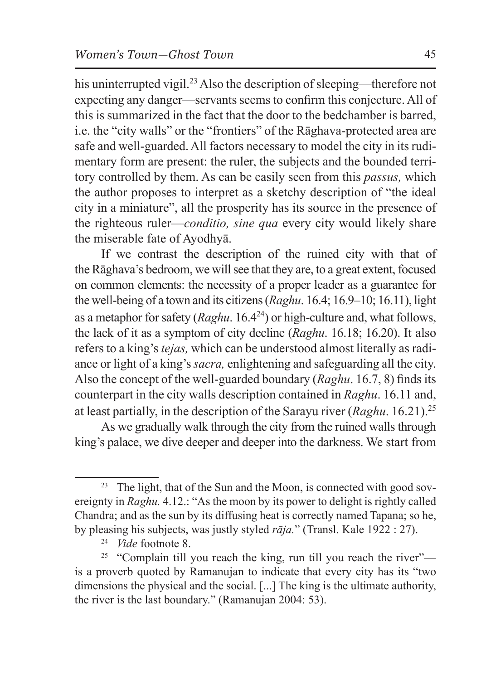his uninterrupted vigil.<sup>23</sup> Also the description of sleeping—therefore not expecting any danger—servants seems to confirm this conjecture. All of this is summarized in the fact that the door to the bedchamber is barred, i.e. the "city walls" or the "frontiers" of the Rāghava-protected area are safe and well-guarded. All factors necessary to model the city in its rudimentary form are present: the ruler, the subjects and the bounded territory controlled by them. As can be easily seen from this *passus,* which the author proposes to interpret as a sketchy description of "the ideal city in a miniature", all the prosperity has its source in the presence of the righteous ruler—*conditio, sine qua* every city would likely share the miserable fate of Ayodhyā.

If we contrast the description of the ruined city with that of theRāghava's bedroom, we will see that they are, to a great extent, focused on common elements: the necessity of a proper leader as a guarantee for the well-being of a town and its citizens (*Raghu*. 16.4; 16.9–10; 16.11), light as a metaphor for safety (*Raghu*. 16.4<sup>24</sup>) or high-culture and, what follows, the lack of it as a symptom of city decline (*Raghu*. 16.18; 16.20). It also refers to a king's *tejas,* which can be understood almost literally as radiance or light of a king's *sacra,* enlightening and safeguarding all the city. Also the concept of the well-guarded boundary (*Raghu*. 16.7, 8) finds its counterpart in the city walls description contained in *Raghu*. 16.11 and, at least partially, in the description of the Sarayu river (*Raghu*. 16.21).<sup>25</sup>

As we gradually walk through the city from the ruined walls through king's palace, we dive deeper and deeper into the darkness. We start from

<sup>&</sup>lt;sup>23</sup> The light, that of the Sun and the Moon, is connected with good sovereignty in *Raghu.* 4.12.: "As the moon by its power to delight is rightly called Chandra; and as the sun by its diffusing heat is correctly named Tapana; so he, by pleasing his subjects, was justly styled *rāja.*" (Transl. Kale 1922 : 27).

<sup>24</sup> *Vide* footnote 8.

<sup>&</sup>lt;sup>25</sup> "Complain till you reach the king, run till you reach the river"is a proverb quoted by Ramanujan to indicate that every city has its "two dimensions the physical and the social. [...] The king is the ultimate authority, the river is the last boundary." (Ramanujan 2004: 53).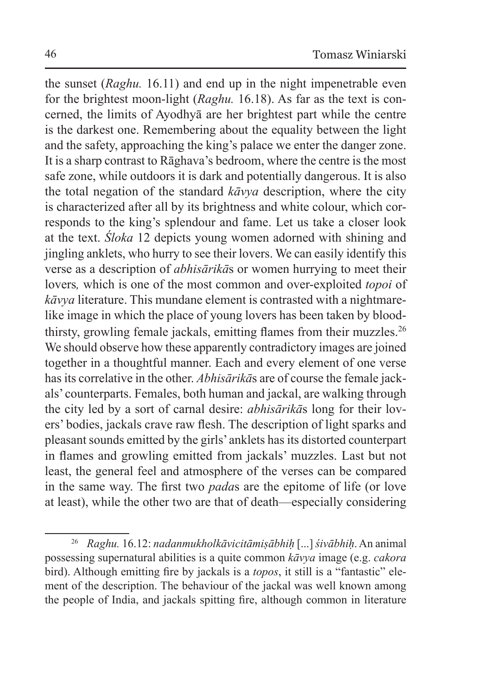the sunset (*Raghu.* 16.11) and end up in the night impenetrable even for the brightest moon-light (*Raghu.* 16.18). As far as the text is concerned, the limits of Ayodhyā are her brightest part while the centre is the darkest one. Remembering about the equality between the light and the safety, approaching the king's palace we enter the danger zone. It is a sharp contrast to Rāghava's bedroom, where the centre is the most safe zone, while outdoors it is dark and potentially dangerous. It is also the total negation of the standard *kāvya* description, where the city is characterized after all by its brightness and white colour, which corresponds to the king's splendour and fame. Let us take a closer look at the text. *Śloka* 12 depicts young women adorned with shining and jingling anklets, who hurry to see their lovers. We can easily identify this verse as a description of *abhisārikā*s or women hurrying to meet their lovers*,* which is one of the most common and over-exploited *topoi* of *kāvya* literature. This mundane element is contrasted with a nightmarelike image in which the place of young lovers has been taken by bloodthirsty, growling female jackals, emitting flames from their muzzles.<sup>26</sup> We should observe how these apparently contradictory images are joined together in a thoughtful manner. Each and every element of one verse has its correlative in the other. *Abhisārikā*s are of course the female jackals' counterparts. Females, both human and jackal, are walking through the city led by a sort of carnal desire: *abhisārikā*s long for their lovers' bodies, jackals crave raw flesh. The description of light sparks and pleasant sounds emitted by the girls' anklets has its distorted counterpart in flames and growling emitted from jackals' muzzles. Last but not least, the general feel and atmosphere of the verses can be compared in the same way. The first two *pada*s are the epitome of life (or love at least), while the other two are that of death—especially considering

<sup>26</sup> *Raghu.* 16.12: *nadanmukholkāvicitāmiṣābhiḥ* [...] *śivābhiḥ*. An animal possessing supernatural abilities is a quite common *kāvya* image (e.g. *cakora* bird). Although emitting fire by jackals is a *topos*, it still is a "fantastic" element of the description. The behaviour of the jackal was well known among the people of India, and jackals spitting fire, although common in literature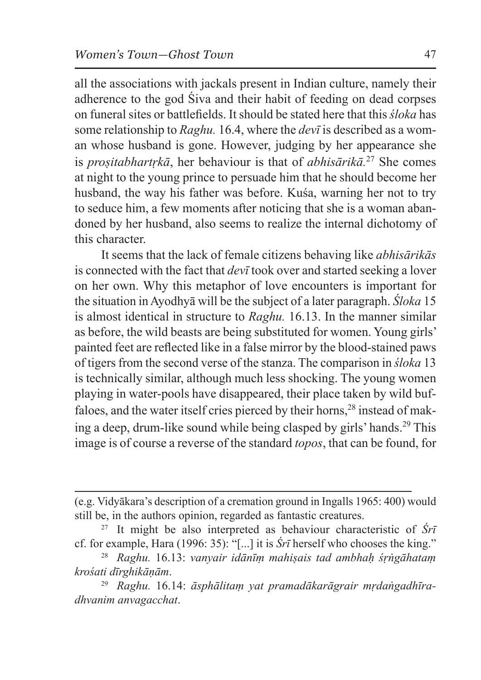all the associations with jackals present in Indian culture, namely their adherence to the god Śiva and their habit of feeding on dead corpses on funeral sites or battlefields. It should be stated here that this *śloka* has some relationship to *Raghu.* 16.4, where the *devī* is described as a woman whose husband is gone. However, judging by her appearance she is *proṣitabhartṛkā*, her behaviour is that of *abhisārikā.*27 She comes at night to the young prince to persuade him that he should become her husband, the way his father was before. Kuśa, warning her not to try to seduce him, a few moments after noticing that she is a woman abandoned by her husband, also seems to realize the internal dichotomy of this character.

It seems that the lack of female citizens behaving like *abhisārikās* is connected with the fact that *devī* took over and started seeking a lover on her own. Why this metaphor of love encounters is important for the situation inAyodhyā will be the subject of a later paragraph. *Śloka* 15 is almost identical in structure to *Raghu.* 16.13. In the manner similar as before, the wild beasts are being substituted for women. Young girls' painted feet are reflected like in a false mirror by the blood-stained paws of tigers from the second verse of the stanza. The comparison in *śloka* 13 is technically similar, although much less shocking. The young women playing in water-pools have disappeared, their place taken by wild buffaloes, and the water itself cries pierced by their horns,<sup>28</sup> instead of making a deep, drum-like sound while being clasped by girls' hands.29 This image is of course a reverse of the standard *topos*, that can be found, for

<sup>(</sup>e.g. Vidyākara's description of a cremation ground in Ingalls 1965: 400) would still be, in the authors opinion, regarded as fantastic creatures.

<sup>27</sup> It might be also interpreted as behaviour characteristic of *Śrī*  cf. for example, Hara (1996: 35): "[...] it is *Śrī* herself who chooses the king."

<sup>28</sup> *Raghu.* 16.13: *vanyair idānīṃ mahiṣais tad ambhaḥ śṛṅgāhataṃ krośati dīrghikāṇām*.

<sup>29</sup> *Raghu.* 16.14: *āsphālitaṃ yat pramadākarāgrair mṛdaṅgadhīradhvanim anvagacchat*.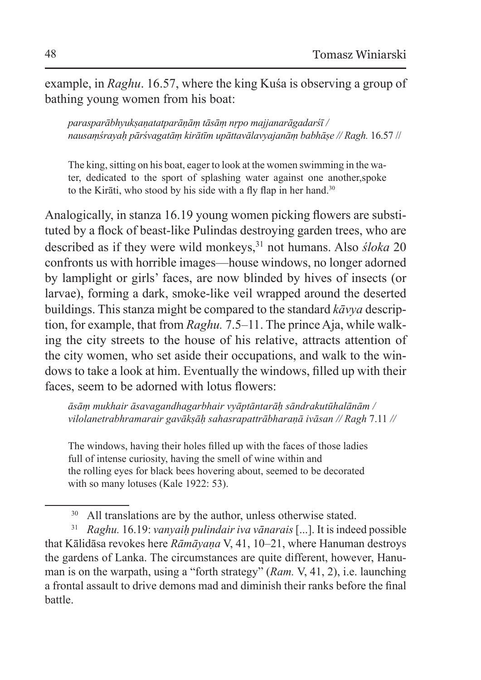example, in *Raghu*. 16.57, where the king Kuśa is observing a group of bathing young women from his boat:

*parasparābhyukṣaṇatatparāṇāṃ tāsāṃ nṛpo majjanarāgadarśī / nausaṃśrayaḥ pārśvagatāṃ kirātīm upāttavālavyajanāṃ babhāṣe // Ragh.* 16.57 //

The king, sitting on his boat, eager to look at the women swimming in the water, dedicated to the sport of splashing water against one another,spoke to the Kirāti, who stood by his side with a fly flap in her hand.<sup>30</sup>

Analogically, in stanza 16.19 young women picking flowers are substituted by a flock of beast-like Pulindas destroying garden trees, who are described as if they were wild monkeys,<sup>31</sup> not humans. Also *śloka* 20 confronts us with horrible images—house windows, no longer adorned by lamplight or girls' faces, are now blinded by hives of insects (or larvae), forming a dark, smoke-like veil wrapped around the deserted buildings. This stanza might be compared to the standard *kāvya* description, for example, that from *Raghu.* 7.5–11. The prince Aja, while walking the city streets to the house of his relative, attracts attention of the city women, who set aside their occupations, and walk to the windows to take a look at him. Eventually the windows, filled up with their faces, seem to be adorned with lotus flowers:

*āsāṃ mukhair āsavagandhagarbhair vyāptāntarāḥ sāndrakutūhalānām / vilolanetrabhramarair gavākṣāḥ sahasrapattrābharaṇā ivāsan // Ragh* 7.11 *//*

The windows, having their holes filled up with the faces of those ladies full of intense curiosity, having the smell of wine within and the rolling eyes for black bees hovering about, seemed to be decorated with so many lotuses (Kale 1922: 53).

<sup>&</sup>lt;sup>30</sup> All translations are by the author, unless otherwise stated.

<sup>31</sup> *Raghu.* 16.19: *vanyaiḥ pulindair iva vānarais* [...]. It is indeed possible that Kālidāsa revokes here *Rāmāyaṇa* V, 41, 10–21, where Hanuman destroys the gardens of Lanka. The circumstances are quite different, however, Hanuman is on the warpath, using a "forth strategy" (*Ram.* V, 41, 2), i.e. launching a frontal assault to drive demons mad and diminish their ranks before the final battle.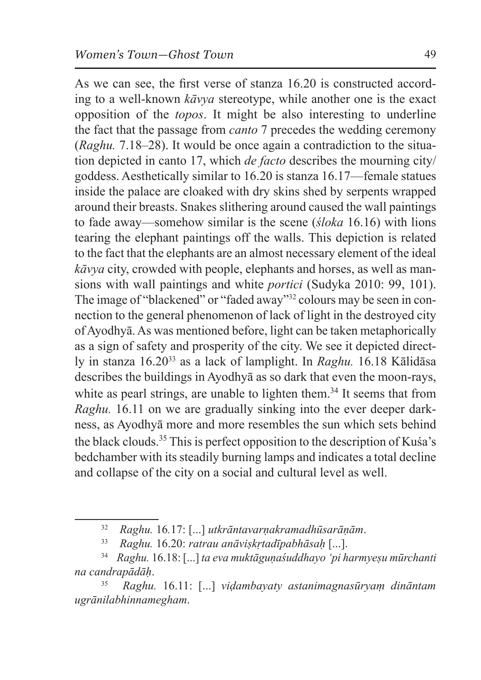As we can see, the first verse of stanza 16.20 is constructed according to a well-known *kāvya* stereotype, while another one is the exact opposition of the *topos*. It might be also interesting to underline the fact that the passage from *canto* 7 precedes the wedding ceremony (*Raghu.* 7.18–28). It would be once again a contradiction to the situation depicted in canto 17, which *de facto* describes the mourning city/ goddess. Aesthetically similar to 16.20 is stanza 16.17—female statues inside the palace are cloaked with dry skins shed by serpents wrapped around their breasts. Snakes slithering around caused the wall paintings to fade away—somehow similar is the scene (*śloka* 16.16) with lions tearing the elephant paintings off the walls. This depiction is related to the fact that the elephants are an almost necessary element of the ideal *kāvya* city, crowded with people, elephants and horses, as well as mansions with wall paintings and white *portici* (Sudyka 2010: 99, 101). The image of "blackened" or "faded away"<sup>32</sup> colours may be seen in connection to the general phenomenon of lack of light in the destroyed city of Ayodhyā. As was mentioned before, light can be taken metaphorically as a sign of safety and prosperity of the city. We see it depicted directly in stanza 16.20<sup>33</sup> as a lack of lamplight. In *Raghu.* 16.18 Kālidāsa describes the buildings in Ayodhyā as so dark that even the moon-rays, white as pearl strings, are unable to lighten them.<sup>34</sup> It seems that from *Raghu.* 16.11 on we are gradually sinking into the ever deeper darkness, as Ayodhyā more and more resembles the sun which sets behind the black clouds.<sup>35</sup> This is perfect opposition to the description of Kuśa's bedchamber with its steadily burning lamps and indicates a total decline and collapse of the city on a social and cultural level as well.

<sup>32</sup> *Raghu.* 16*.*17: [...] *utkrāntavarṇakramadhūsarāṇām*.

<sup>33</sup> *Raghu.* 16.20: *ratrau anāviṣkṛtadīpabhāsaḥ* [...].

<sup>34</sup> *Raghu.* 16.18: [...] *ta eva muktāguṇaśuddhayo 'pi harmyeṣu mūrchanti na candrapādāḥ*.

<sup>35</sup> *Raghu.* 16.11: [...] *viḍambayaty astanimagnasūryaṃ dināntam ugrānilabhinnamegham*.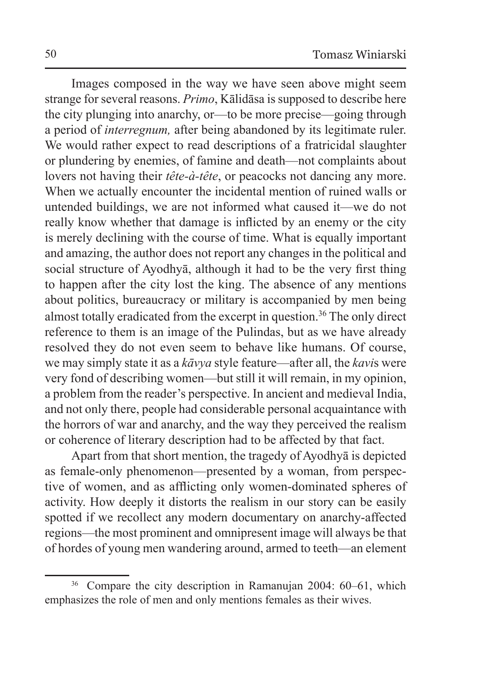Images composed in the way we have seen above might seem strange for several reasons. *Primo*, Kālidāsa is supposed to describe here the city plunging into anarchy, or—to be more precise—going through a period of *interregnum,* after being abandoned by its legitimate ruler. We would rather expect to read descriptions of a fratricidal slaughter or plundering by enemies, of famine and death—not complaints about lovers not having their *tête-à-tête*, or peacocks not dancing any more. When we actually encounter the incidental mention of ruined walls or untended buildings, we are not informed what caused it—we do not really know whether that damage is inflicted by an enemy or the city is merely declining with the course of time. What is equally important and amazing, the author does not report any changes in the political and social structure of Ayodhyā, although it had to be the very first thing to happen after the city lost the king. The absence of any mentions about politics, bureaucracy or military is accompanied by men being almost totally eradicated from the excerpt in question.<sup>36</sup> The only direct reference to them is an image of the Pulindas, but as we have already resolved they do not even seem to behave like humans. Of course, we may simply state it as a *kāvya* style feature—after all, the *kavi*s were very fond of describing women—but still it will remain, in my opinion, a problem from the reader's perspective. In ancient and medieval India, and not only there, people had considerable personal acquaintance with the horrors of war and anarchy, and the way they perceived the realism or coherence of literary description had to be affected by that fact.

Apart from that short mention, the tragedy of Ayodhyā is depicted as female-only phenomenon—presented by a woman, from perspective of women, and as afflicting only women-dominated spheres of activity. How deeply it distorts the realism in our story can be easily spotted if we recollect any modern documentary on anarchy-affected regions—the most prominent and omnipresent image will always be that of hordes of young men wandering around, armed to teeth—an element

<sup>36</sup> Compare the city description in Ramanujan 2004: 60–61, which emphasizes the role of men and only mentions females as their wives.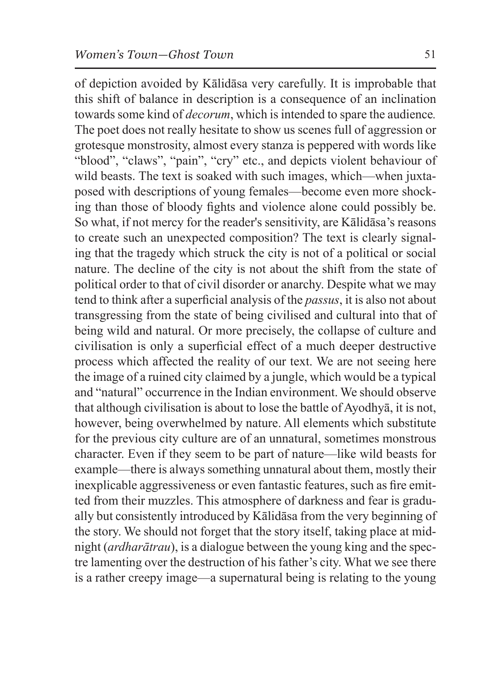of depiction avoided by Kālidāsa very carefully. It is improbable that this shift of balance in description is a consequence of an inclination towards some kind of *decorum*, which is intended to spare the audience*.*  The poet does not really hesitate to show us scenes full of aggression or grotesque monstrosity, almost every stanza is peppered with words like "blood", "claws", "pain", "cry" etc., and depicts violent behaviour of wild beasts. The text is soaked with such images, which—when juxtaposed with descriptions of young females—become even more shocking than those of bloody fights and violence alone could possibly be. So what, if not mercy for the reader's sensitivity, are Kālidāsa's reasons to create such an unexpected composition? The text is clearly signaling that the tragedy which struck the city is not of a political or social nature. The decline of the city is not about the shift from the state of political order to that of civil disorder or anarchy. Despite what we may tend to think after a superficial analysis of the *passus*, it is also not about transgressing from the state of being civilised and cultural into that of being wild and natural. Or more precisely, the collapse of culture and civilisation is only a superficial effect of a much deeper destructive process which affected the reality of our text. We are not seeing here the image of a ruined city claimed by a jungle, which would be a typical and "natural" occurrence in the Indian environment. We should observe that although civilisation is about to lose the battle of Ayodhyā, it is not, however, being overwhelmed by nature. All elements which substitute for the previous city culture are of an unnatural, sometimes monstrous character. Even if they seem to be part of nature—like wild beasts for example—there is always something unnatural about them, mostly their inexplicable aggressiveness or even fantastic features, such as fire emitted from their muzzles. This atmosphere of darkness and fear is gradually but consistently introduced by Kālidāsa from the very beginning of the story. We should not forget that the story itself, taking place at midnight (*ardharātrau*), is a dialogue between the young king and the spectre lamenting over the destruction of his father's city. What we see there is a rather creepy image—a supernatural being is relating to the young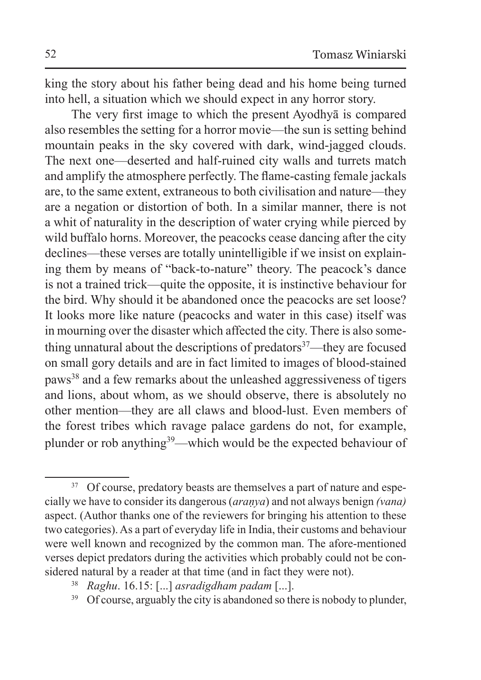king the story about his father being dead and his home being turned into hell, a situation which we should expect in any horror story.

The very first image to which the present Ayodhyā is compared also resembles the setting for a horror movie—the sun is setting behind mountain peaks in the sky covered with dark, wind-jagged clouds. The next one—deserted and half-ruined city walls and turrets match and amplify the atmosphere perfectly. The flame-casting female jackals are, to the same extent, extraneous to both civilisation and nature—they are a negation or distortion of both. In a similar manner, there is not a whit of naturality in the description of water crying while pierced by wild buffalo horns. Moreover, the peacocks cease dancing after the city declines—these verses are totally unintelligible if we insist on explaining them by means of "back-to-nature" theory. The peacock's dance is not a trained trick—quite the opposite, it is instinctive behaviour for the bird. Why should it be abandoned once the peacocks are set loose? It looks more like nature (peacocks and water in this case) itself was in mourning over the disaster which affected the city. There is also something unnatural about the descriptions of predators<sup>37</sup>—they are focused on small gory details and are in fact limited to images of blood-stained paws<sup>38</sup> and a few remarks about the unleashed aggressiveness of tigers and lions, about whom, as we should observe, there is absolutely no other mention—they are all claws and blood-lust. Even members of the forest tribes which ravage palace gardens do not, for example, plunder or rob anything<sup>39</sup>—which would be the expected behaviour of

<sup>&</sup>lt;sup>37</sup> Of course, predatory beasts are themselves a part of nature and especially we have to consider its dangerous (*araṇya*) and not always benign *(vana)*  aspect. (Author thanks one of the reviewers for bringing his attention to these two categories). As a part of everyday life in India, their customs and behaviour were well known and recognized by the common man. The afore-mentioned verses depict predators during the activities which probably could not be considered natural by a reader at that time (and in fact they were not).

<sup>38</sup> *Raghu*. 16.15: [...] *asradigdham padam* [...].

<sup>&</sup>lt;sup>39</sup> Of course, arguably the city is abandoned so there is nobody to plunder,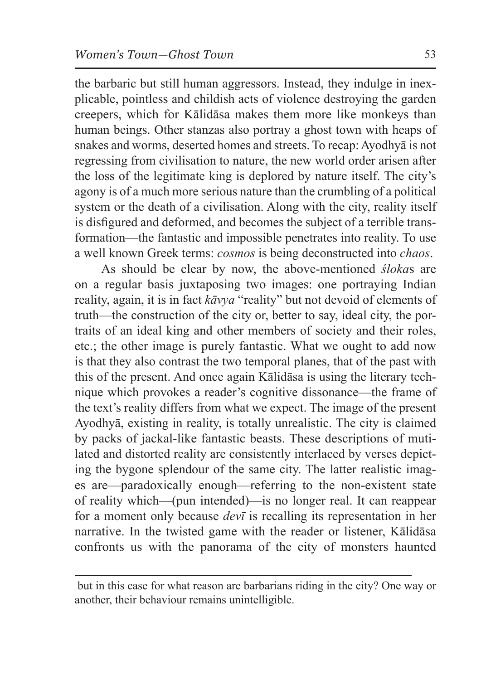the barbaric but still human aggressors. Instead, they indulge in inexplicable, pointless and childish acts of violence destroying the garden creepers, which for Kālidāsa makes them more like monkeys than human beings. Other stanzas also portray a ghost town with heaps of snakes and worms, deserted homes and streets. To recap: Ayodhyā is not regressing from civilisation to nature, the new world order arisen after the loss of the legitimate king is deplored by nature itself. The city's agony is of a much more serious nature than the crumbling of a political system or the death of a civilisation. Along with the city, reality itself is disfigured and deformed, and becomes the subject of a terrible transformation—the fantastic and impossible penetrates into reality. To use a well known Greek terms: *cosmos* is being deconstructed into *chaos*.

As should be clear by now, the above-mentioned *śloka*s are on a regular basis juxtaposing two images: one portraying Indian reality, again, it is in fact *kāvya* "reality" but not devoid of elements of truth—the construction of the city or, better to say, ideal city, the portraits of an ideal king and other members of society and their roles, etc.; the other image is purely fantastic. What we ought to add now is that they also contrast the two temporal planes, that of the past with this of the present. And once again Kālidāsa is using the literary technique which provokes a reader's cognitive dissonance—the frame of the text's reality differs from what we expect. The image of the present Ayodhyā, existing in reality, is totally unrealistic. The city is claimed by packs of jackal-like fantastic beasts. These descriptions of mutilated and distorted reality are consistently interlaced by verses depicting the bygone splendour of the same city. The latter realistic images are—paradoxically enough—referring to the non-existent state of reality which—(pun intended)—is no longer real. It can reappear for a moment only because *devī* is recalling its representation in her narrative. In the twisted game with the reader or listener, Kālidāsa confronts us with the panorama of the city of monsters haunted

but in this case for what reason are barbarians riding in the city? One way or another, their behaviour remains unintelligible.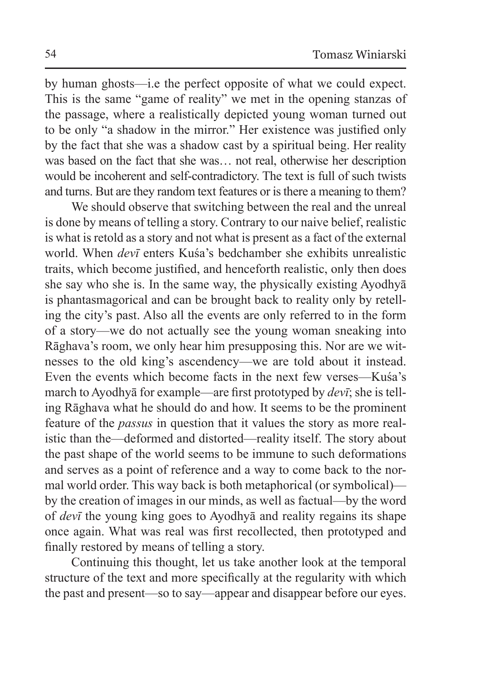by human ghosts—i.e the perfect opposite of what we could expect. This is the same "game of reality" we met in the opening stanzas of the passage, where a realistically depicted young woman turned out to be only "a shadow in the mirror." Her existence was justified only by the fact that she was a shadow cast by a spiritual being. Her reality was based on the fact that she was… not real, otherwise her description would be incoherent and self-contradictory. The text is full of such twists and turns. But are they random text features or is there a meaning to them?

We should observe that switching between the real and the unreal is done by means of telling a story. Contrary to our naive belief, realistic is what is retold as a story and not what is present as a fact of the external world. When *devī* enters Kuśa's bedchamber she exhibits unrealistic traits, which become justified, and henceforth realistic, only then does she say who she is. In the same way, the physically existing Ayodhyā is phantasmagorical and can be brought back to reality only by retelling the city's past. Also all the events are only referred to in the form of a story—we do not actually see the young woman sneaking into Rāghava's room, we only hear him presupposing this. Nor are we witnesses to the old king's ascendency—we are told about it instead. Even the events which become facts in the next few verses—Kuśa's march to Ayodhyā for example—are first prototyped by *devī*; she is telling Rāghava what he should do and how. It seems to be the prominent feature of the *passus* in question that it values the story as more realistic than the—deformed and distorted—reality itself. The story about the past shape of the world seems to be immune to such deformations and serves as a point of reference and a way to come back to the normal world order. This way back is both metaphorical (or symbolical) by the creation of images in our minds, as well as factual—by the word of *devī* the young king goes to Ayodhyā and reality regains its shape once again. What was real was first recollected, then prototyped and finally restored by means of telling a story.

Continuing this thought, let us take another look at the temporal structure of the text and more specifically at the regularity with which the past and present—so to say—appear and disappear before our eyes.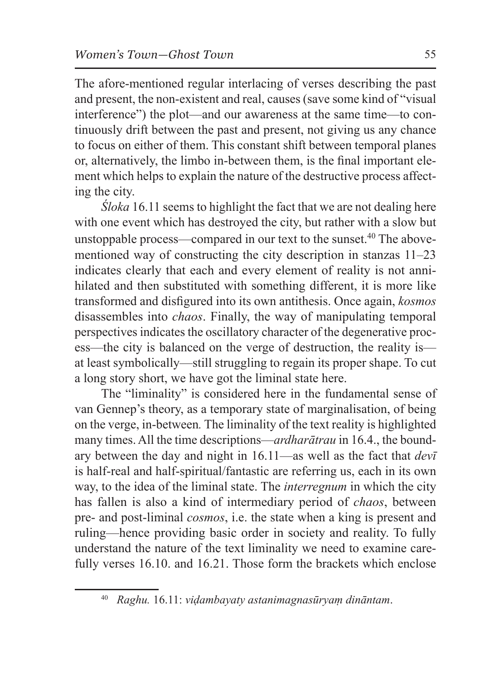The afore-mentioned regular interlacing of verses describing the past and present, the non-existent and real, causes (save some kind of "visual interference") the plot—and our awareness at the same time—to continuously drift between the past and present, not giving us any chance to focus on either of them. This constant shift between temporal planes or, alternatively, the limbo in-between them, is the final important element which helps to explain the nature of the destructive process affecting the city.

*Śloka* 16.11 seems to highlight the fact that we are not dealing here with one event which has destroyed the city, but rather with a slow but unstoppable process—compared in our text to the sunset.<sup>40</sup> The abovementioned way of constructing the city description in stanzas 11–23 indicates clearly that each and every element of reality is not annihilated and then substituted with something different, it is more like transformed and disfigured into its own antithesis. Once again, *kosmos* disassembles into *chaos*. Finally, the way of manipulating temporal perspectives indicates the oscillatory character of the degenerative process—the city is balanced on the verge of destruction, the reality is at least symbolically—still struggling to regain its proper shape. To cut a long story short, we have got the liminal state here.

The "liminality" is considered here in the fundamental sense of van Gennep's theory, as a temporary state of marginalisation, of being on the verge, in-between*.* The liminality of the text reality is highlighted many times. All the time descriptions—*ardharātrau* in 16.4., the boundary between the day and night in 16.11—as well as the fact that *devī* is half-real and half-spiritual/fantastic are referring us, each in its own way, to the idea of the liminal state. The *interregnum* in which the city has fallen is also a kind of intermediary period of *chaos*, between pre- and post-liminal *cosmos*, i.e. the state when a king is present and ruling—hence providing basic order in society and reality. To fully understand the nature of the text liminality we need to examine carefully verses 16.10. and 16.21. Those form the brackets which enclose

<sup>40</sup> *Raghu.* 16.11: *viḍambayaty astanimagnasūryaṃ dināntam*.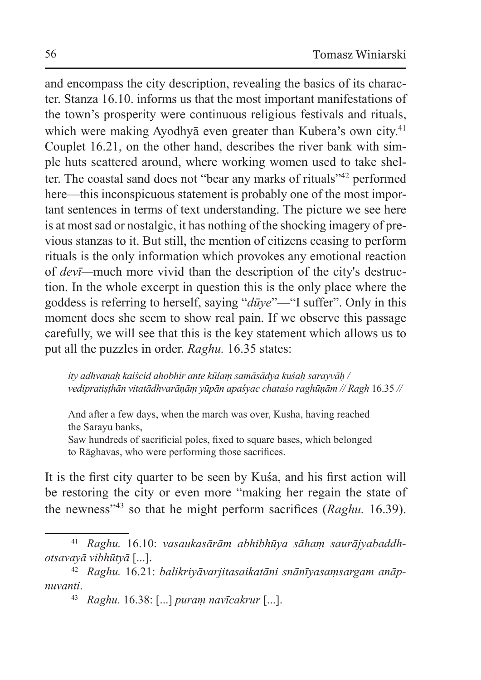and encompass the city description, revealing the basics of its character. Stanza 16.10. informs us that the most important manifestations of the town's prosperity were continuous religious festivals and rituals, which were making Ayodhyā even greater than Kubera's own city.<sup>41</sup> Couplet 16.21, on the other hand, describes the river bank with simple huts scattered around, where working women used to take shelter. The coastal sand does not "bear any marks of rituals"42 performed here—this inconspicuous statement is probably one of the most important sentences in terms of text understanding. The picture we see here is at most sad or nostalgic, it has nothing of the shocking imagery of previous stanzas to it. But still, the mention of citizens ceasing to perform rituals is the only information which provokes any emotional reaction of *devī—*much more vivid than the description of the city's destruction. In the whole excerpt in question this is the only place where the goddess is referring to herself, saying "*dūye*"—"I suffer". Only in this moment does she seem to show real pain. If we observe this passage carefully, we will see that this is the key statement which allows us to put all the puzzles in order. *Raghu.* 16.35 states:

*ity adhvanaḥ kaiścid ahobhir ante kūlaṃ samāsādya kuśaḥ sarayvāḥ / vedipratiṣṭhān vitatādhvarāṇāṃ yūpān apaśyac chataśo raghūṇām // Ragh* 16.35 *//*

And after a few days, when the march was over, Kusha, having reached the Sarayu banks,

Saw hundreds of sacrificial poles, fixed to square bases, which belonged to Rāghavas, who were performing those sacrifices.

It is the first city quarter to be seen by Kuśa, and his first action will be restoring the city or even more "making her regain the state of the newness"<sup>43</sup> so that he might perform sacrifices (*Raghu.* 16.39).

<sup>41</sup> *Raghu.* 16.10: *vasaukasārām abhibhūya sāhaṃ saurājyabaddhotsavayā vibhūtyā* [...].

<sup>42</sup> *Raghu.* 16.21: *balikriyāvarjitasaikatāni snānīyasaṃsargam anāpnuvanti*.

<sup>43</sup> *Raghu.* 16.38: [...] *puraṃ navīcakrur* [...].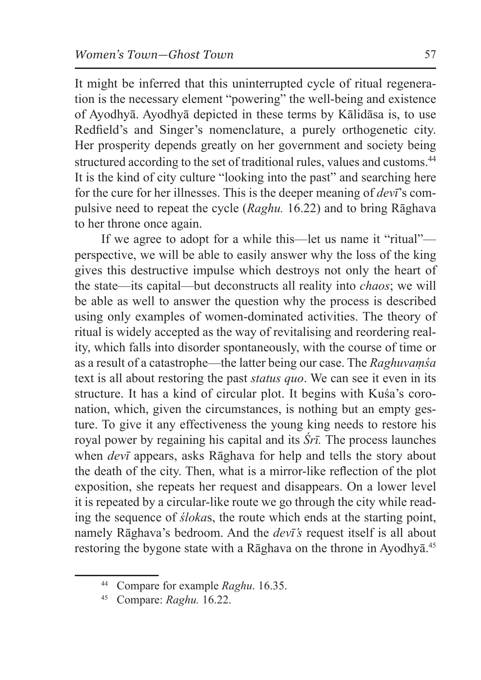It might be inferred that this uninterrupted cycle of ritual regeneration is the necessary element "powering" the well-being and existence of Ayodhyā. Ayodhyā depicted in these terms by Kālidāsa is, to use Redfield's and Singer's nomenclature, a purely orthogenetic city. Her prosperity depends greatly on her government and society being structured according to the set of traditional rules, values and customs.<sup>44</sup> It is the kind of city culture "looking into the past" and searching here for the cure for her illnesses. This is the deeper meaning of *devī*'s compulsive need to repeat the cycle (*Raghu.* 16.22) and to bring Rāghava to her throne once again.

If we agree to adopt for a while this—let us name it "ritual" perspective, we will be able to easily answer why the loss of the king gives this destructive impulse which destroys not only the heart of the state—its capital—but deconstructs all reality into *chaos*; we will be able as well to answer the question why the process is described using only examples of women-dominated activities. The theory of ritual is widely accepted as the way of revitalising and reordering reality, which falls into disorder spontaneously, with the course of time or as a result of a catastrophe—the latter being our case. The *Raghuvaṃśa* text is all about restoring the past *status quo*. We can see it even in its structure. It has a kind of circular plot. It begins with Kuśa's coronation, which, given the circumstances, is nothing but an empty gesture. To give it any effectiveness the young king needs to restore his royal power by regaining his capital and its *Śrī.* The process launches when *devī* appears, asks Rāghava for help and tells the story about the death of the city. Then, what is a mirror-like reflection of the plot exposition, she repeats her request and disappears. On a lower level it is repeated by a circular-like route we go through the city while reading the sequence of *śloka*s, the route which ends at the starting point, namely Rāghava's bedroom. And the *devī's* request itself is all about restoring the bygone state with a Rāghava on the throne in Ayodhyā.<sup>45</sup>

<sup>44</sup> Compare for example *Raghu*. 16.35.

<sup>45</sup> Compare: *Raghu.* 16.22.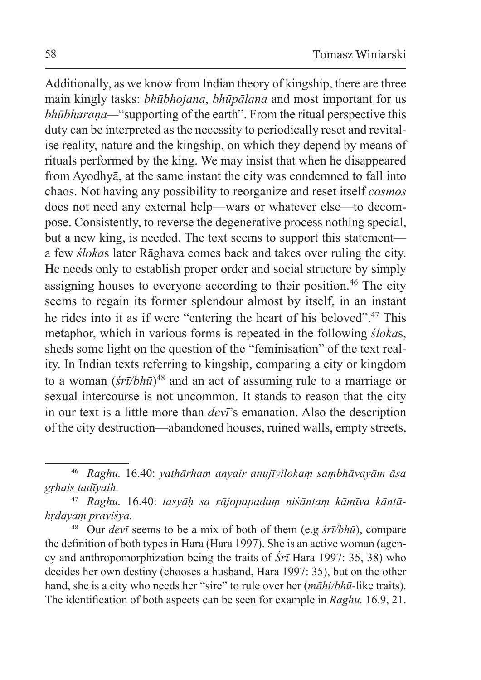Additionally, as we know from Indian theory of kingship, there are three main kingly tasks: *bhūbhojana*, *bhūpālana* and most important for us *bhūbharaṇa—*"supporting of the earth". From the ritual perspective this duty can be interpreted as the necessity to periodically reset and revitalise reality, nature and the kingship, on which they depend by means of rituals performed by the king. We may insist that when he disappeared from Ayodhyā, at the same instant the city was condemned to fall into chaos. Not having any possibility to reorganize and reset itself *cosmos* does not need any external help—wars or whatever else—to decompose. Consistently, to reverse the degenerative process nothing special, but a new king, is needed. The text seems to support this statement a few *śloka*s later Rāghava comes back and takes over ruling the city. He needs only to establish proper order and social structure by simply assigning houses to everyone according to their position.<sup>46</sup> The city seems to regain its former splendour almost by itself, in an instant he rides into it as if were "entering the heart of his beloved".<sup>47</sup> This metaphor, which in various forms is repeated in the following *śloka*s, sheds some light on the question of the "feminisation" of the text reality. In Indian texts referring to kingship, comparing a city or kingdom to a woman (*śrī/bhū*) <sup>48</sup> and an act of assuming rule to a marriage or sexual intercourse is not uncommon. It stands to reason that the city in our text is a little more than *devī*'s emanation. Also the description of the city destruction—abandoned houses, ruined walls, empty streets,

<sup>48</sup> Our *devī* seems to be a mix of both of them (e.g *śrī/bhū*), compare the definition of both types in Hara (Hara 1997). She is an active woman (agency and anthropomorphization being the traits of *Śrī* Hara 1997: 35, 38) who decides her own destiny (chooses a husband, Hara 1997: 35), but on the other hand, she is a city who needs her "sire" to rule over her (*māhi/bhū*-like traits). The identification of both aspects can be seen for example in *Raghu.* 16.9, 21.

<sup>46</sup> *Raghu.* 16.40: *yathārham anyair anujīvilokaṃ saṃbhāvayām āsa gṛhais tadīyaiḥ.* 

<sup>47</sup> *Raghu.* 16.40: *tasyāḥ sa rājopapadaṃ niśāntaṃ kāmīva kāntāhṛdayaṃ praviśya.*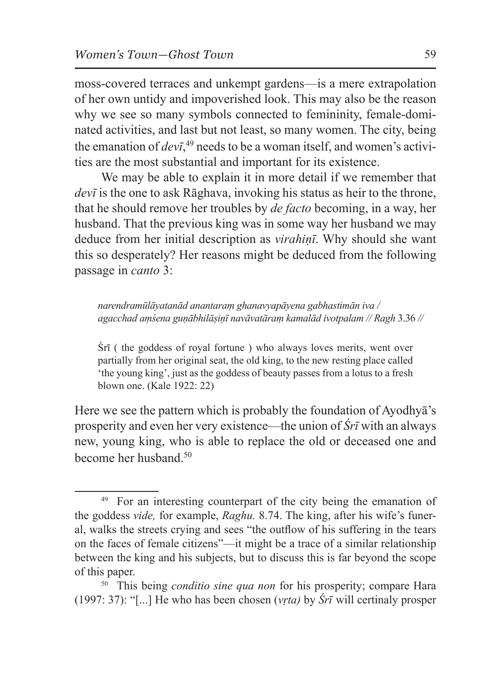moss-covered terraces and unkempt gardens—is a mere extrapolation of her own untidy and impoverished look. This may also be the reason why we see so many symbols connected to femininity, female-dominated activities, and last but not least, so many women. The city, being the emanation of *devī*, <sup>49</sup> needs to be a woman itself, and women's activities are the most substantial and important for its existence.

We may be able to explain it in more detail if we remember that *devī* is the one to ask Rāghava, invoking his status as heir to the throne, that he should remove her troubles by *de facto* becoming, in a way, her husband. That the previous king was in some way her husband we may deduce from her initial description as *virahiṇī*. Why should she want this so desperately? Her reasons might be deduced from the following passage in *canto* 3:

*narendramūlāyatanād anantaraṃ ghanavyapāyena gabhastimān iva / agacchad aṃśena guṇābhilāṣiṇī navāvatāraṃ kamalād ivotpalam // Ragh* 3.36 *//*

Śrī ( the goddess of royal fortune ) who always loves merits, went over partially from her original seat, the old king, to the new resting place called 'the young king', just as the goddess of beauty passes from a lotus to a fresh blown one. (Kale 1922: 22)

Here we see the pattern which is probably the foundation of Ayodhyā's prosperity and even her very existence—the union of *Śrī* with an always new, young king, who is able to replace the old or deceased one and become her husband.<sup>50</sup>

<sup>&</sup>lt;sup>49</sup> For an interesting counterpart of the city being the emanation of the goddess *vide,* for example, *Raghu.* 8.74. The king, after his wife's funeral, walks the streets crying and sees "the outflow of his suffering in the tears on the faces of female citizens"—it might be a trace of a similar relationship between the king and his subjects, but to discuss this is far beyond the scope of this paper.

<sup>50</sup> This being *conditio sine qua non* for his prosperity; compare Hara (1997: 37): "[...] He who has been chosen (*vṛta)* by *Śrī* will certinaly prosper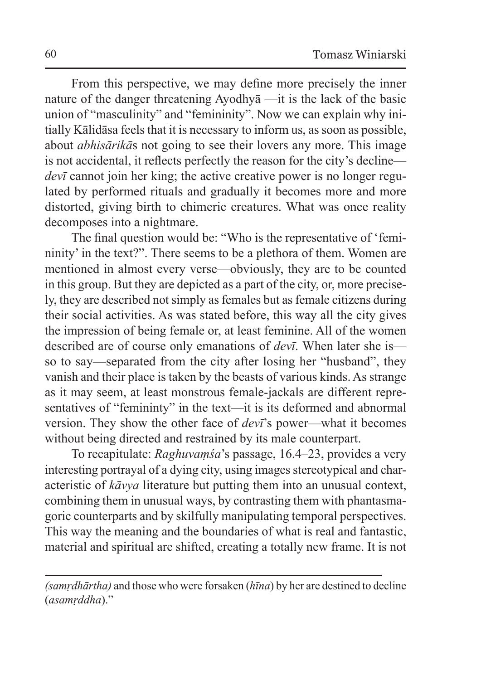From this perspective, we may define more precisely the inner nature of the danger threatening Ayodhyā —it is the lack of the basic union of "masculinity" and "femininity". Now we can explain why initially Kālidāsa feels that it is necessary to inform us, as soon as possible, about *abhisārikā*s not going to see their lovers any more. This image is not accidental, it reflects perfectly the reason for the city's decline *dev*<sup> $\bar{c}$ </sup> cannot join her king; the active creative power is no longer regulated by performed rituals and gradually it becomes more and more distorted, giving birth to chimeric creatures. What was once reality decomposes into a nightmare.

The final question would be: "Who is the representative of 'femininity' in the text?". There seems to be a plethora of them. Women are mentioned in almost every verse—obviously, they are to be counted in this group. But they are depicted as a part of the city, or, more precisely, they are described not simply as females but as female citizens during their social activities. As was stated before, this way all the city gives the impression of being female or, at least feminine. All of the women described are of course only emanations of *devī*. When later she is so to say—separated from the city after losing her "husband", they vanish and their place is taken by the beasts of various kinds. As strange as it may seem, at least monstrous female-jackals are different representatives of "femininty" in the text—it is its deformed and abnormal version. They show the other face of *devī*'s power—what it becomes without being directed and restrained by its male counterpart.

To recapitulate: *Raghuvaṃśa*'s passage, 16.4–23, provides a very interesting portrayal of a dying city, using images stereotypical and characteristic of *kāvya* literature but putting them into an unusual context, combining them in unusual ways, by contrasting them with phantasmagoric counterparts and by skilfully manipulating temporal perspectives. This way the meaning and the boundaries of what is real and fantastic, material and spiritual are shifted, creating a totally new frame. It is not

*<sup>(</sup>samṛdhārtha)* and those who were forsaken (*hīna*) by her are destined to decline (*asamṛddha*)."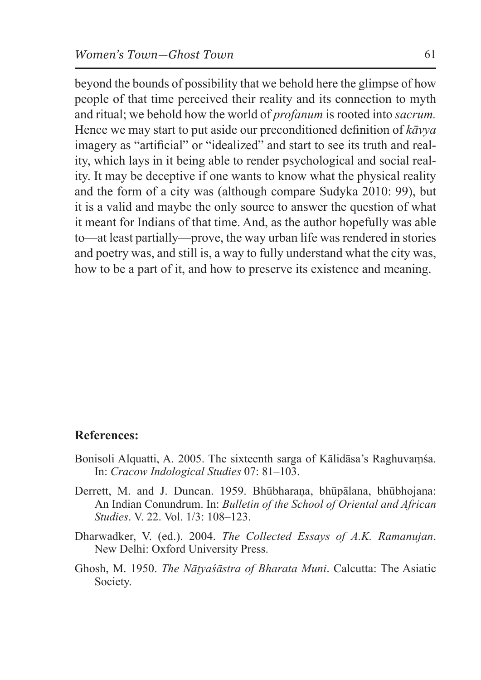beyond the bounds of possibility that we behold here the glimpse of how people of that time perceived their reality and its connection to myth and ritual; we behold how the world of *profanum* is rooted into *sacrum.*  Hence we may start to put aside our preconditioned definition of *kāvya*  imagery as "artificial" or "idealized" and start to see its truth and reality, which lays in it being able to render psychological and social reality. It may be deceptive if one wants to know what the physical reality and the form of a city was (although compare Sudyka 2010: 99), but it is a valid and maybe the only source to answer the question of what it meant for Indians of that time. And, as the author hopefully was able to—at least partially—prove, the way urban life was rendered in stories and poetry was, and still is, a way to fully understand what the city was, how to be a part of it, and how to preserve its existence and meaning.

## **References:**

- Bonisoli Alquatti, A. 2005. The sixteenth sarga of Kālidāsa's Raghuvaṃśa. In: *Cracow Indological Studies* 07: 81–103.
- Derrett, M. and J. Duncan. 1959. Bhūbharaṇa, bhūpālana, bhūbhojana: An Indian Conundrum. In: *Bulletin of the School of Oriental and African Studies*. V. 22. Vol. 1/3: 108–123.
- Dharwadker, V. (ed.). 2004. *The Collected Essays of A.K. Ramanujan*. New Delhi: Oxford University Press.
- Ghosh, M. 1950. *The Nāṭyaśāstra of Bharata Muni*. Calcutta: The Asiatic Society.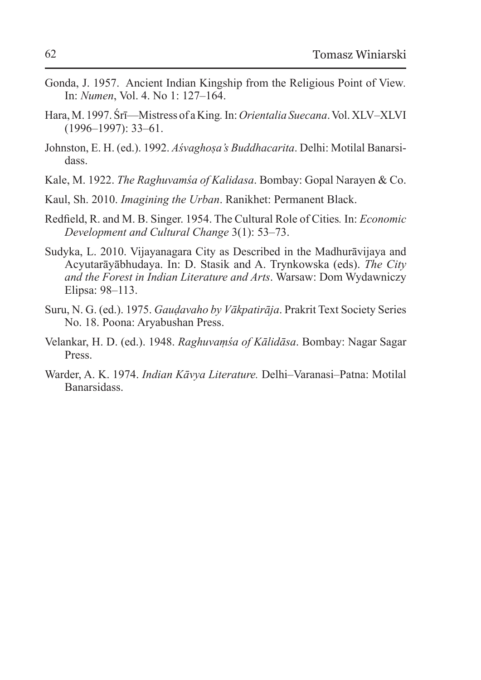- Gonda, J. 1957. Ancient Indian Kingship from the Religious Point of View*.* In: *Numen*, Vol. 4. No 1: 127–164.
- Hara, M. 1997. Śrī—Mistress of aKing*.* In:*Orientalia Suecana*. Vol. XLV–XLVI (1996–1997): 33–61.
- Johnston, E. H. (ed.). 1992. *Aśvaghoṣa's Buddhacarita*. Delhi: Motilal Banarsidass.
- Kale, M. 1922. *The Raghuvamśa of Kalidasa*. Bombay: Gopal Narayen & Co.
- Kaul, Sh. 2010. *Imagining the Urban*. Ranikhet: Permanent Black.
- Redfield, R. and M. B. Singer. 1954. The Cultural Role of Cities*.* In: *Economic Development and Cultural Change* 3(1): 53–73.
- Sudyka, L. 2010. Vijayanagara City as Described in the Madhurāvijaya and Acyutarāyābhudaya. In: D. Stasik and A. Trynkowska (eds). *The City and the Forest in Indian Literature and Arts*. Warsaw: Dom Wydawniczy Elipsa: 98–113.
- Suru, N. G. (ed.). 1975. *Gauḍavaho by Vākpatirāja*. Prakrit Text Society Series No. 18. Poona: Aryabushan Press.
- Velankar, H. D. (ed.). 1948. *Raghuvaṃśa of Kālidāsa*. Bombay: Nagar Sagar Press.
- Warder, A. K. 1974. *Indian Kāvya Literature.* Delhi–Varanasi–Patna: Motilal Banarsidass.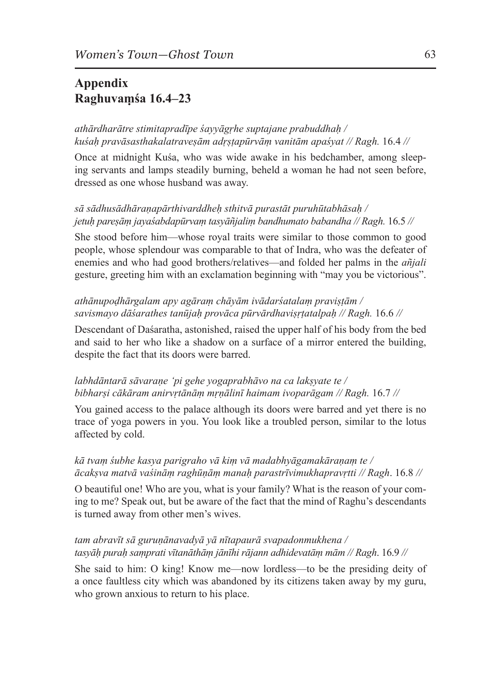# **Appendix Raghuvaṃśa 16.4–23**

## *athārdharātre stimitapradīpe śayyāgṛhe suptajane prabuddhaḥ / kuśaḥ pravāsasthakalatraveṣām adṛṣṭapūrvāṃ vanitām apaśyat // Ragh.* 16.4 *//*

Once at midnight Kuśa, who was wide awake in his bedchamber, among sleeping servants and lamps steadily burning, beheld a woman he had not seen before, dressed as one whose husband was away.

#### *sā sādhusādhāraṇapārthivarddheḥ sthitvā purastāt puruhūtabhāsaḥ / jetuḥ pareṣāṃ jayaśabdapūrvaṃ tasyāñjaliṃ bandhumato babandha // Ragh.* 16.5 *//*

She stood before him—whose royal traits were similar to those common to good people, whose splendour was comparable to that of Indra, who was the defeater of enemies and who had good brothers/relatives—and folded her palms in the *añjali*  gesture, greeting him with an exclamation beginning with "may you be victorious".

#### *athānupoḍhārgalam apy agāraṃ chāyām ivādarśatalaṃ praviṣṭām / savismayo dāśarathes tanūjaḥ provāca pūrvārdhaviṣṛṭatalpaḥ // Ragh.* 16.6 *//*

Descendant of Daśaratha, astonished, raised the upper half of his body from the bed and said to her who like a shadow on a surface of a mirror entered the building, despite the fact that its doors were barred.

#### *labhdāntarā sāvaraṇe 'pi gehe yogaprabhāvo na ca lakṣyate te / bibharṣi cākāram anirvṛtānāṃ mṛṇālinī haimam ivoparāgam // Ragh.* 16.7 *//*

You gained access to the palace although its doors were barred and yet there is no trace of yoga powers in you. You look like a troubled person, similar to the lotus affected by cold.

#### *kā tvaṃ śubhe kasya parigraho vā kiṃ vā madabhyāgamakāraṇaṃ te / ācakṣva matvā vaśināṃ raghūṇāṃ manaḥ parastrīvimukhapravṛtti // Ragh*. 16.8 *//*

O beautiful one! Who are you, what is your family? What is the reason of your coming to me? Speak out, but be aware of the fact that the mind of Raghu's descendants is turned away from other men's wives.

## *tam abravīt sā guruṇānavadyā yā nītapaurā svapadonmukhena / tasyāḥ puraḥ saṃprati vītanāthāṃ jānīhi rājann adhidevatāṃ mām // Ragh*. 16.9 *//*

She said to him: O king! Know me—now lordless—to be the presiding deity of a once faultless city which was abandoned by its citizens taken away by my guru, who grown anxious to return to his place.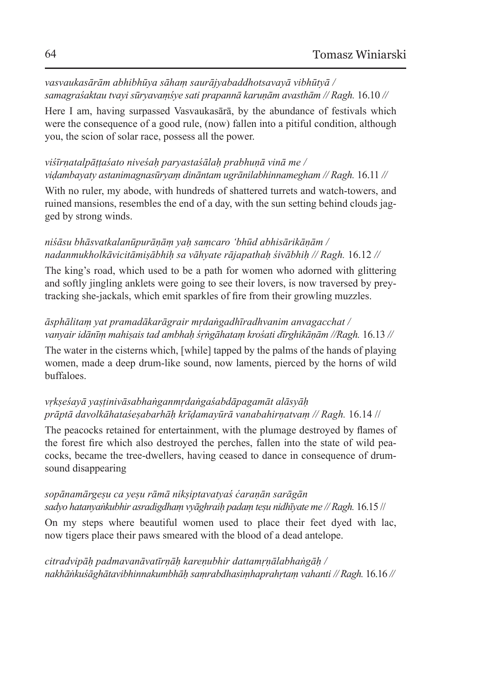*vasvaukasārām abhibhūya sāhaṃ saurājyabaddhotsavayā vibhūtyā / samagraśaktau tvayi sūryavaṃśye sati prapannā karuṇām avasthām // Ragh.* 16.10 *//*

Here I am, having surpassed Vasvaukasārā, by the abundance of festivals which were the consequence of a good rule, (now) fallen into a pitiful condition, although you, the scion of solar race, possess all the power.

### *viśīrṇatalpāṭṭaśato niveśaḥ paryastaśālaḥ prabhuṇā vinā me / viḍambayaty astanimagnasūryaṃ dināntam ugrānilabhinnamegham // Ragh.* 16.11 *//*

With no ruler, my abode, with hundreds of shattered turrets and watch-towers, and ruined mansions, resembles the end of a day, with the sun setting behind clouds jagged by strong winds.

#### *niśāsu bhāsvatkalanūpurāṇāṃ yaḥ saṃcaro 'bhūd abhisārikāṇām / nadanmukholkāvicitāmiṣābhiḥ sa vāhyate rājapathaḥ śivābhiḥ // Ragh.* 16.12 *//*

The king's road, which used to be a path for women who adorned with glittering and softly jingling anklets were going to see their lovers, is now traversed by preytracking she-jackals, which emit sparkles of fire from their growling muzzles.

# *āsphālitaṃ yat pramadākarāgrair mṛdaṅgadhīradhvanim anvagacchat / vanyair idānīṃ mahiṣais tad ambhaḥ śṛṅgāhataṃ krośati dīrghikāṇām //Ragh.* 16.13 *//*

The water in the cisterns which, [while] tapped by the palms of the hands of playing women, made a deep drum-like sound, now laments, pierced by the horns of wild buffaloes.

## *vṛkṣeśayā yaṣṭinivāsabhaṅganmṛdaṅgaśabdāpagamāt alāsyāḥ prāptā davolkāhataśeṣabarhāḥ krīḍamayūrā vanabahirṇatvaṃ // Ragh.* 16.14 //

The peacocks retained for entertainment, with the plumage destroyed by flames of the forest fire which also destroyed the perches, fallen into the state of wild peacocks, became the tree-dwellers, having ceased to dance in consequence of drumsound disappearing

#### *sopānamārgeṣu ca yeṣu rāmā nikṣiptavatyaś ćaraṇān sarāgān sadyo hatanyaṅkubhir asradigdhaṃ vyāghraiḥ padaṃ teṣu nidhīyate me // Ragh.* 16.15 //

On my steps where beautiful women used to place their feet dyed with lac, now tigers place their paws smeared with the blood of a dead antelope.

*citradvipāḥ padmavanāvatīrṇāḥ kareṇubhir dattamṛṇālabhaṅgāḥ / nakhāṅkuśāghātavibhinnakumbhāḥ saṃrabdhasiṃhaprahṛtaṃ vahanti // Ragh.* 16.16 *//*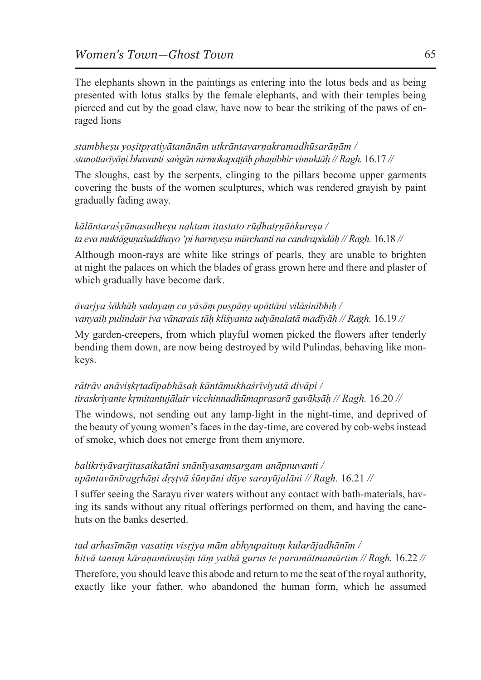The elephants shown in the paintings as entering into the lotus beds and as being presented with lotus stalks by the female elephants, and with their temples being pierced and cut by the goad claw, have now to bear the striking of the paws of enraged lions

#### *stambheṣu yoṣitpratiyātanānām utkrāntavarṇakramadhūsarāṇām / stanottarīyāṇi bhavanti saṅgān nirmokapaṭṭāḥ phaṇibhir vimuktāḥ // Ragh.* 16.17 *//*

The sloughs, cast by the serpents, clinging to the pillars become upper garments covering the busts of the women sculptures, which was rendered grayish by paint gradually fading away.

#### *kālāntaraśyāmasudheṣu naktam itastato rūḍhatṛṇāṅkureṣu / ta eva muktāguṇaśuddhayo 'pi harmyeṣu mūrchanti na candrapādāḥ // Ragh.* 16.18 *//*

Although moon-rays are white like strings of pearls, they are unable to brighten at night the palaces on which the blades of grass grown here and there and plaster of which gradually have become dark.

#### *āvarjya śākhāḥ sadayaṃ ca yāsāṃ puṣpāṇy upāttāni vilāsinībhiḥ / vanyaiḥ pulindair iva vānarais tāḥ kliśyanta udyānalatā madīyāḥ // Ragh.* 16.19 *//*

My garden-creepers, from which playful women picked the flowers after tenderly bending them down, are now being destroyed by wild Pulindas, behaving like monkeys.

# *rātrāv anāviṣkṛtadīpabhāsaḥ kāntāmukhaśrīviyutā divāpi / tiraskriyante kṛmitantujālair vicchinnadhūmaprasarā gavākṣāḥ // Ragh.* 16.20 *//*

The windows, not sending out any lamp-light in the night-time, and deprived of the beauty of young women's faces in the day-time, are covered by cob-webs instead of smoke, which does not emerge from them anymore.

## *balikriyāvarjitasaikatāni snānīyasaṃsargam anāpnuvanti / upāntavānīragṛhāṇi dṛṣṭvā śūnyāni dūye sarayūjalāni // Ragh.* 16.21 *//*

I suffer seeing the Sarayu river waters without any contact with bath-materials, having its sands without any ritual offerings performed on them, and having the canehuts on the banks deserted.

# *tad arhasīmāṃ vasatiṃ visṛjya mām abhyupaituṃ kularājadhānīm / hitvā tanuṃ kāraṇamānuṣīṃ tāṃ yathā gurus te paramātmamūrtim // Ragh.* 16.22 *//*

Therefore, you should leave this abode and return to me the seat of the royal authority, exactly like your father, who abandoned the human form, which he assumed